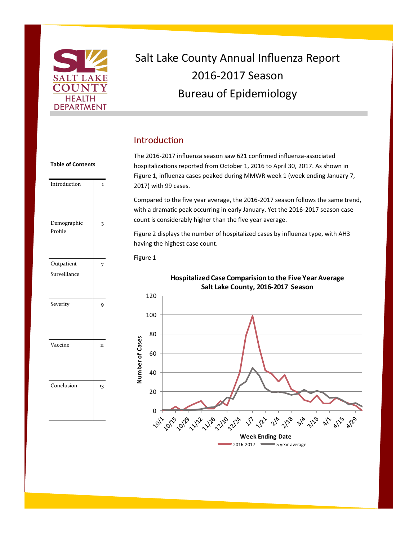

Introduction 1

**Table of Contents**

# Salt Lake County Annual Influenza Report 2016-2017 Season Bureau of Epidemiology

# Introduction

The 2016-2017 influenza season saw 621 confirmed influenza-associated hospitalizations reported from October 1, 2016 to April 30, 2017. As shown in Figure 1, influenza cases peaked during MMWR week 1 (week ending January 7, 2017) with 99 cases.

Compared to the five year average, the 2016-2017 season follows the same trend, with a dramatic peak occurring in early January. Yet the 2016-2017 season case count is considerably higher than the five year average.

Figure 2 displays the number of hospitalized cases by influenza type, with AH3 having the highest case count.



Figure 1

**Hospitalized Case Comparision to the Five Year Average Salt Lake County, 2016-2017 Season** 

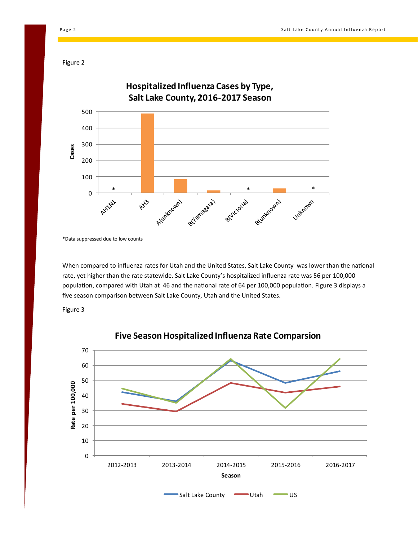Figure 2



\*Data suppressed due to low counts

When compared to influenza rates for Utah and the United States, Salt Lake County was lower than the national rate, yet higher than the rate statewide. Salt Lake County's hospitalized influenza rate was 56 per 100,000 population, compared with Utah at 46 and the national rate of 64 per 100,000 population. Figure 3 displays a five season comparison between Salt Lake County, Utah and the United States.

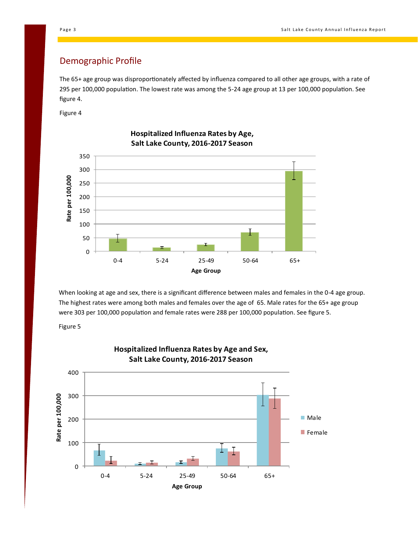# Demographic Profile

The 65+ age group was disproportionately affected by influenza compared to all other age groups, with a rate of 295 per 100,000 population. The lowest rate was among the 5-24 age group at 13 per 100,000 population. See figure 4.

Figure 4



**Hospitalized Influenza Rates by Age, Salt Lake County, 2016-2017 Season**

When looking at age and sex, there is a significant difference between males and females in the 0-4 age group. The highest rates were among both males and females over the age of 65. Male rates for the 65+ age group were 303 per 100,000 population and female rates were 288 per 100,000 population. See figure 5.

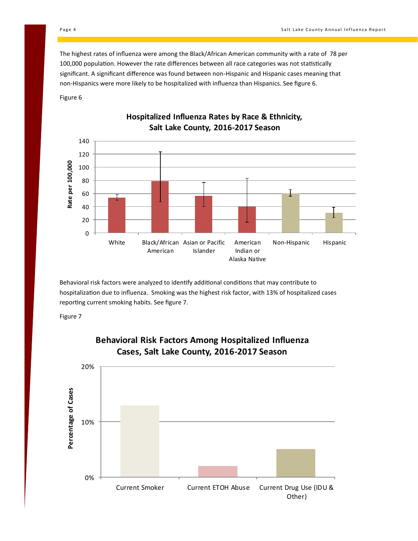The highest rates of influenza were among the Black/African American community with a rate of 78 per 100,000 population. However the rate differences between all race categories was not statistically significant. A significant difference was found between non-Hispanic and Hispanic cases meaning that non-Hispanics were more likely to be hospitalized with influenza than Hispanics. See figure 6.

Figure 6



#### **Hospitalized Influenza Rates by Race & Ethnicity, Salt Lake County, 2016-2017 Season**

Behavioral risk factors were analyzed to identify additional conditions that may contribute to hospitalization due to influenza. Smoking was the highest risk factor, with 13% of hospitalized cases reporting current smoking habits. See figure 7.





# **Behavioral Risk Factors Among Hospitalized Influenza Cases, Salt Lake County, 2016-2017 Season**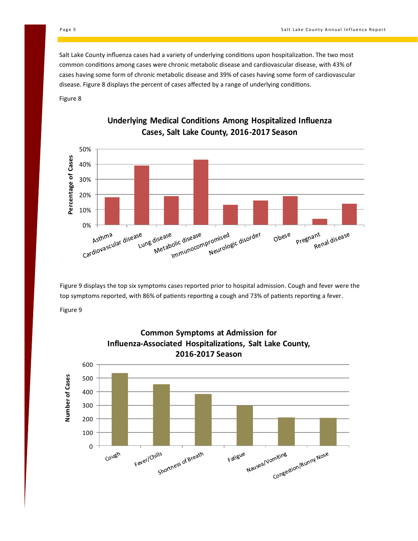Salt Lake County influenza cases had a variety of underlying conditions upon hospitalization. The two most common conditions among cases were chronic metabolic disease and cardiovascular disease, with 43% of cases having some form of chronic metabolic disease and 39% of cases having some form of cardiovascular disease. Figure 8 displays the percent of cases affected by a range of underlying conditions.

Figure 8



# **Underlying Medical Conditions Among Hospitalized Influenza Cases, Salt Lake County, 2016-2017 Season**

Figure 9 displays the top six symptoms cases reported prior to hospital admission. Cough and fever were the top symptoms reported, with 86% of patients reporting a cough and 73% of patients reporting a fever.

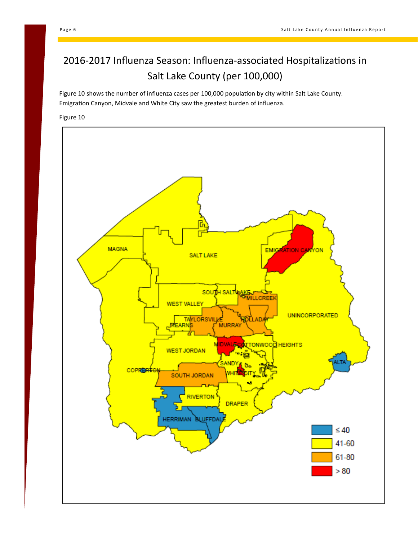# 2016-2017 Influenza Season: Influenza-associated Hospitalizations in Salt Lake County (per 100,000)

Figure 10 shows the number of influenza cases per 100,000 population by city within Salt Lake County. Emigration Canyon, Midvale and White City saw the greatest burden of influenza.

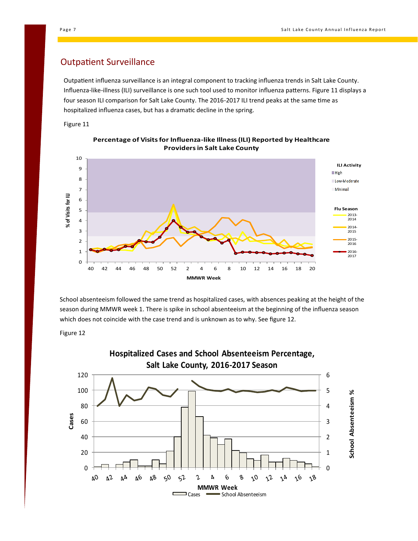#### Outpatient Surveillance

Outpatient influenza surveillance is an integral component to tracking influenza trends in Salt Lake County. Influenza-like-illness (ILI) surveillance is one such tool used to monitor influenza patterns. Figure 11 displays a four season ILI comparison for Salt Lake County. The 2016-2017 ILI trend peaks at the same time as hospitalized influenza cases, but has a dramatic decline in the spring.

Figure 11





School absenteeism followed the same trend as hospitalized cases, with absences peaking at the height of the season during MMWR week 1. There is spike in school absenteeism at the beginning of the influenza season which does not coincide with the case trend and is unknown as to why. See figure 12.

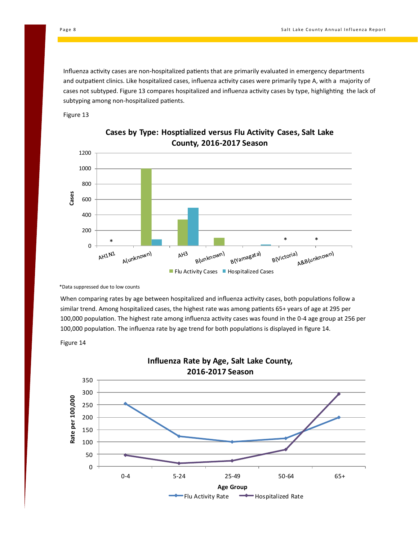Influenza activity cases are non-hospitalized patients that are primarily evaluated in emergency departments and outpatient clinics. Like hospitalized cases, influenza activity cases were primarily type A, with a majority of cases not subtyped. Figure 13 compares hospitalized and influenza activity cases by type, highlighting the lack of subtyping among non-hospitalized patients.







\*Data suppressed due to low counts

When comparing rates by age between hospitalized and influenza activity cases, both populations follow a similar trend. Among hospitalized cases, the highest rate was among patients 65+ years of age at 295 per 100,000 population. The highest rate among influenza activity cases was found in the 0-4 age group at 256 per 100,000 population. The influenza rate by age trend for both populations is displayed in figure 14.



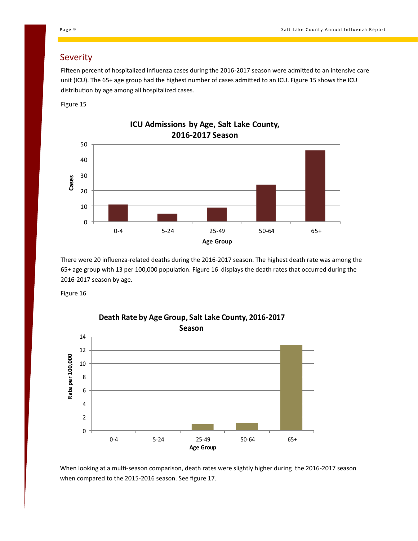#### Severity

Fifteen percent of hospitalized influenza cases during the 2016-2017 season were admitted to an intensive care unit (ICU). The 65+ age group had the highest number of cases admitted to an ICU. Figure 15 shows the ICU distribution by age among all hospitalized cases.

Figure 15



There were 20 influenza-related deaths during the 2016-2017 season. The highest death rate was among the 65+ age group with 13 per 100,000 population. Figure 16 displays the death rates that occurred during the 2016-2017 season by age.

Figure 16



**Death Rate by Age Group, Salt Lake County, 2016-2017** 

When looking at a multi-season comparison, death rates were slightly higher during the 2016-2017 season when compared to the 2015-2016 season. See figure 17.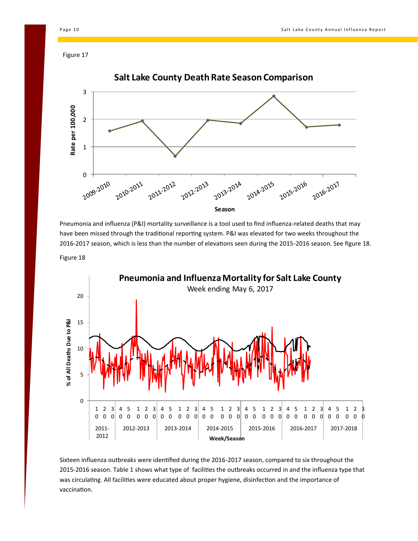Figure 17



Pneumonia and influenza (P&I) mortality surveillance is a tool used to find influenza-related deaths that may have been missed through the traditional reporting system. P&I was elevated for two weeks throughout the -2017 season, which is less than the number of elevations seen during the 2015-2016 season. See figure 18.

Figure 18



Sixteen influenza outbreaks were identified during the 2016-2017 season, compared to six throughout the -2016 season. Table 1 shows what type of facilities the outbreaks occurred in and the influenza type that was circulating. All facilities were educated about proper hygiene, disinfection and the importance of vaccination.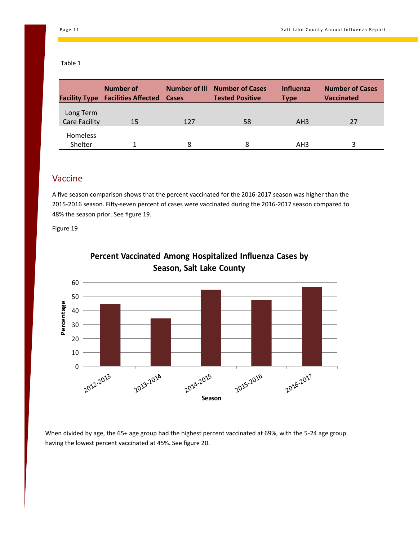#### Table 1

|                                   | Number of<br><b>Facility Type Facilities Affected Cases</b> | Number of III | <b>Number of Cases</b><br><b>Tested Positive</b> | Influenza<br><b>Type</b> | <b>Number of Cases</b><br><b>Vaccinated</b> |
|-----------------------------------|-------------------------------------------------------------|---------------|--------------------------------------------------|--------------------------|---------------------------------------------|
| Long Term<br><b>Care Facility</b> | 15                                                          | 127           | 58                                               | AH3                      | 27                                          |
| <b>Homeless</b><br>Shelter        |                                                             | 8             | 8                                                | AH <sub>3</sub>          | ς                                           |

## Vaccine

A five season comparison shows that the percent vaccinated for the 2016-2017 season was higher than the 2015-2016 season. Fifty-seven percent of cases were vaccinated during the 2016-2017 season compared to 48% the season prior. See figure 19.

Figure 19



# **Percent Vaccinated Among Hospitalized Influenza Cases by Season, Salt Lake County**

When divided by age, the 65+ age group had the highest percent vaccinated at 69%, with the 5-24 age group having the lowest percent vaccinated at 45%. See figure 20.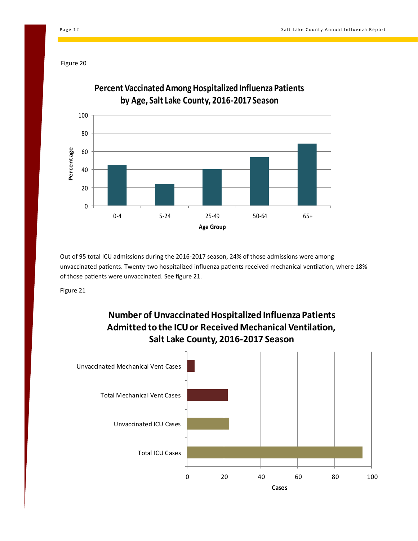Figure 20



Out of 95 total ICU admissions during the 2016-2017 season, 24% of those admissions were among unvaccinated patients. Twenty-two hospitalized influenza patients received mechanical ventilation, where 18% of those patients were unvaccinated. See figure 21.